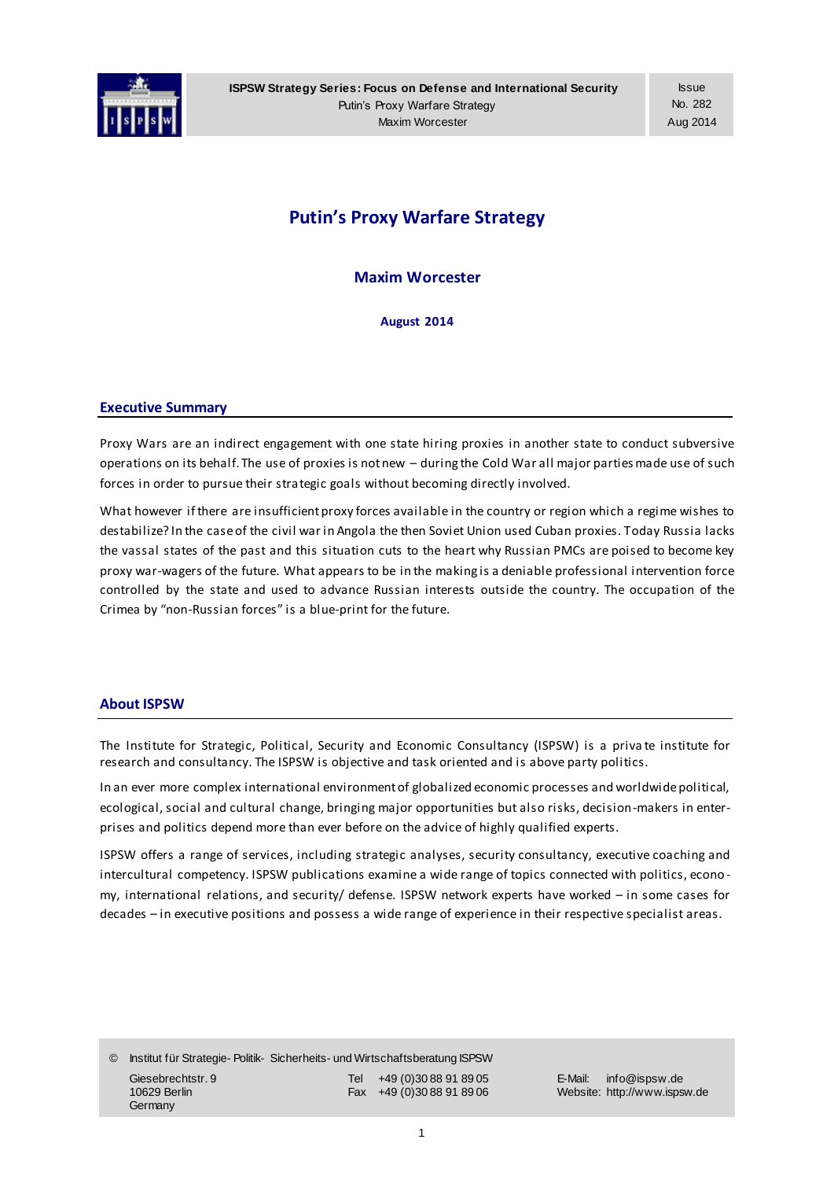

**ISPSW Strategy Series: Focus on Defense and International Security** Putin's Proxy Warfare Strategy Maxim Worcester

# **Putin's Proxy Warfare Strategy**

**Maxim Worcester**

**August 2014**

#### **Executive Summary**

Proxy Wars are an indirect engagement with one state hiring proxies in another state to conduct subversive operations on its behalf. The use of proxies is not new – during the Cold War all major parties made use of such forces in order to pursue their strategic goals without becoming directly involved.

What however if there are insufficient proxy forces available in the country or region which a regime wishes to destabilize? In the case of the civil war in Angola the then Soviet Union used Cuban proxies. Today Russia lacks the vassal states of the past and this situation cuts to the heart why Russian PMCs are poised to become key proxy war-wagers of the future. What appears to be in the making is a deniable professional intervention force controlled by the state and used to advance Russian interests outside the country. The occupation of the Crimea by "non-Russian forces" is a blue-print for the future.

## **About ISPSW**

The Institute for Strategic, Political, Security and Economic Consultancy (ISPSW) is a priva te institute for research and consultancy. The ISPSW is objective and task oriented and is above party politics.

In an ever more complex international environment of globalized economic processes and worldwide political, ecological, social and cultural change, bringing major opportunities but also risks, decision-makers in enterprises and politics depend more than ever before on the advice of highly qualified experts.

ISPSW offers a range of services, including strategic analyses, security consultancy, executive coaching and intercultural competency. ISPSW publications examine a wide range of topics connected with politics, econo my, international relations, and security/ defense. ISPSW network experts have worked – in some cases for decades – in executive positions and possess a wide range of experience in their respective specialist areas.

© Institut für Strategie- Politik- Sicherheits- und Wirtschaftsberatung ISPSW Giesebrechtstr. 9 Tel +49 (0)30 88 91 89 05 E-Mail: info@ispsw.de 10629 Berlin Fax +49 (0)30 88 91 89 06 Website: http://www.ispsw.de **Germany**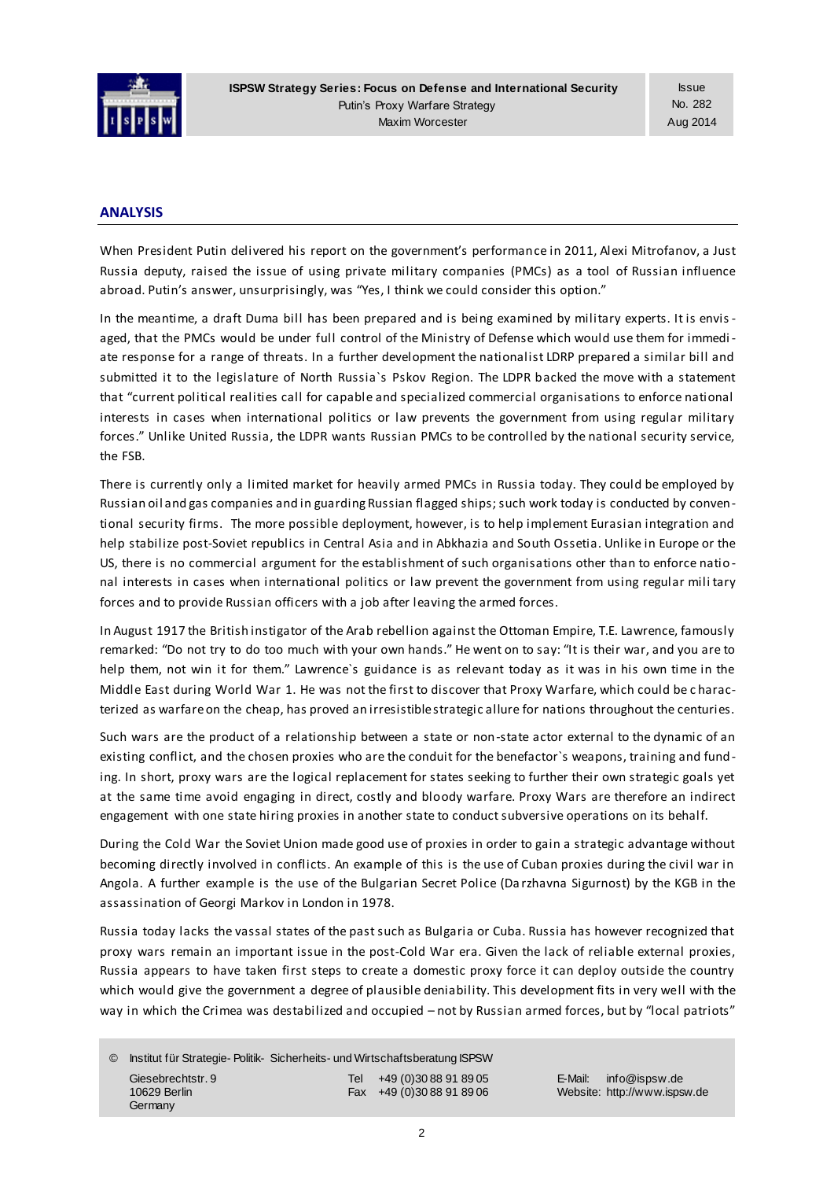

**ISPSW Strategy Series: Focus on Defense and International Security** Putin's Proxy Warfare Strategy Maxim Worcester

Issue No. 282 Aug 2014

#### **ANALYSIS**

When President Putin delivered his report on the government's performance in 2011, Alexi Mitrofanov, a Just Russia deputy, raised the issue of using private military companies (PMCs) as a tool of Russian influence abroad. Putin's answer, unsurprisingly, was "Yes, I think we could consider this option."

In the meantime, a draft Duma bill has been prepared and is being examined by military experts. It is envisaged, that the PMCs would be under full control of the Ministry of Defense which would use them for immedi ate response for a range of threats. In a further development the nationalist LDRP prepared a similar bill and submitted it to the legislature of North Russia`s Pskov Region. The LDPR backed the move with a statement that "current political realities call for capable and specialized commercial organisations to enforce national interests in cases when international politics or law prevents the government from using regular military forces." Unlike United Russia, the LDPR wants Russian PMCs to be controlled by the national security service, the FSB.

There is currently only a limited market for heavily armed PMCs in Russia today. They could be employed by Russian oil and gas companies and in guarding Russian flagged ships; such work today is conducted by conventional security firms. The more possible deployment, however, is to help implement Eurasian integration and help stabilize post-Soviet republics in Central Asia and in Abkhazia and South Ossetia. Unlike in Europe or the US, there is no commercial argument for the establishment of such organisations other than to enforce natio nal interests in cases when international politics or law prevent the government from using regular mili tary forces and to provide Russian officers with a job after leaving the armed forces.

In August 1917 the British instigator of the Arab rebellion against the Ottoman Empire, T.E. Lawrence, famously remarked: "Do not try to do too much with your own hands." He went on to say: "It is their war, and you are to help them, not win it for them." Lawrence`s guidance is as relevant today as it was in his own time in the Middle East during World War 1. He was not the first to discover that Proxy Warfare, which could be c haracterized as warfare on the cheap, has proved an irresistible strategic allure for nations throughout the centuries.

Such wars are the product of a relationship between a state or non-state actor external to the dynamic of an existing conflict, and the chosen proxies who are the conduit for the benefactor`s weapons, training and funding. In short, proxy wars are the logical replacement for states seeking to further their own strategic goals yet at the same time avoid engaging in direct, costly and bloody warfare. Proxy Wars are therefore an indirect engagement with one state hiring proxies in another state to conduct subversive operations on its behalf.

During the Cold War the Soviet Union made good use of proxies in order to gain a strategic advantage without becoming directly involved in conflicts. An example of this is the use of Cuban proxies during the civil war in Angola. A further example is the use of the Bulgarian Secret Police (Da rzhavna Sigurnost) by the KGB in the assassination of Georgi Markov in London in 1978.

Russia today lacks the vassal states of the past such as Bulgaria or Cuba. Russia has however recognized that proxy wars remain an important issue in the post-Cold War era. Given the lack of reliable external proxies, Russia appears to have taken first steps to create a domestic proxy force it can deploy outside the country which would give the government a degree of plausible deniability. This development fits in very well with the way in which the Crimea was destabilized and occupied - not by Russian armed forces, but by "local patriots"

© Institut für Strategie- Politik- Sicherheits- und Wirtschaftsberatung ISPSW Giesebrechtstr. 9 Tel +49 (0)30 88 91 89 05 E-Mail: info@ispsw.de 10629 Berlin Fax +49 (0)30 88 91 89 06 Website: http://www.ispsw.de **Germany**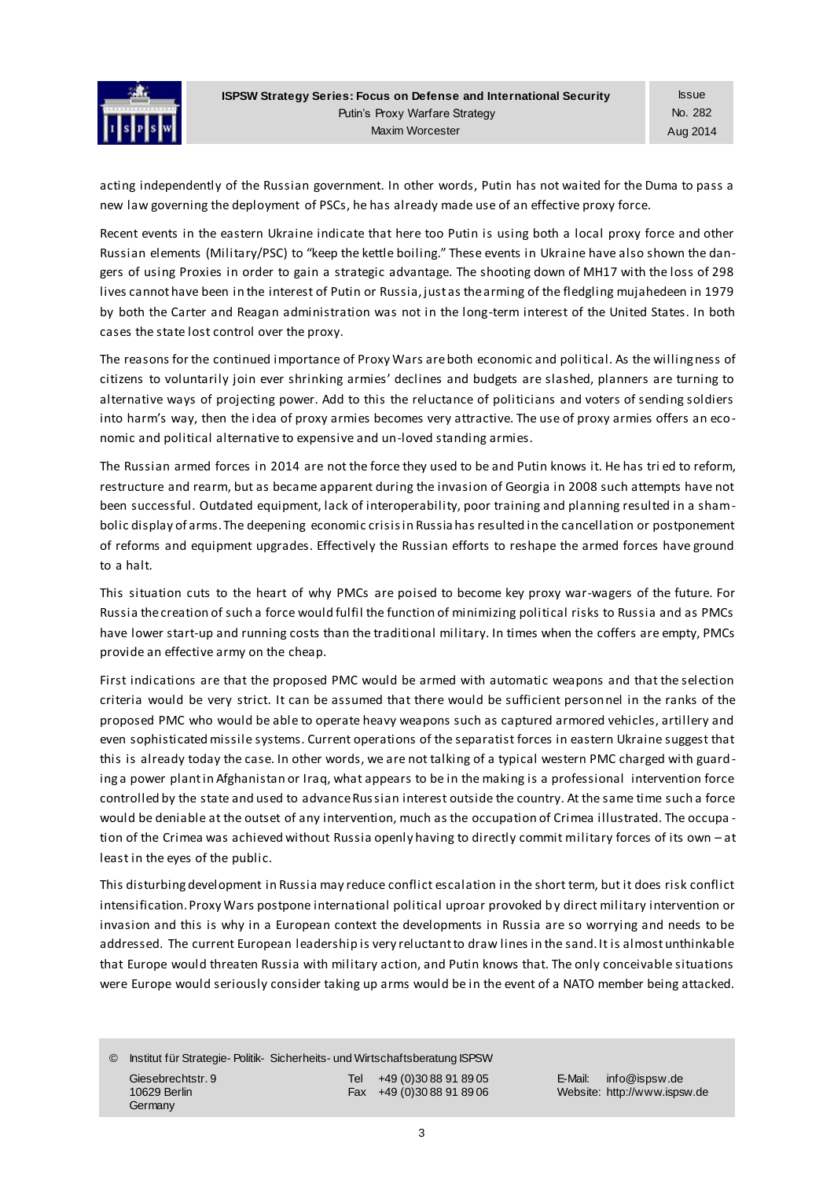

acting independently of the Russian government. In other words, Putin has not waited for the Duma to pass a new law governing the deployment of PSCs, he has already made use of an effective proxy force.

Recent events in the eastern Ukraine indicate that here too Putin is using both a local proxy force and other Russian elements (Military/PSC) to "keep the kettle boiling." These events in Ukraine have also shown the dangers of using Proxies in order to gain a strategic advantage. The shooting down of MH17 with the loss of 298 lives cannot have been in the interest of Putin or Russia, just as the arming of the fledgling mujahedeen in 1979 by both the Carter and Reagan administration was not in the long-term interest of the United States. In both cases the state lost control over the proxy.

The reasons for the continued importance of Proxy Wars are both economic and political. As the willingness of citizens to voluntarily join ever shrinking armies' declines and budgets are slashed, planners are turning to alternative ways of projecting power. Add to this the reluctance of politicians and voters of sending soldiers into harm's way, then the idea of proxy armies becomes very attractive. The use of proxy armies offers an economic and political alternative to expensive and un-loved standing armies.

The Russian armed forces in 2014 are not the force they used to be and Putin knows it. He has tri ed to reform, restructure and rearm, but as became apparent during the invasion of Georgia in 2008 such attempts have not been successful. Outdated equipment, lack of interoperability, poor training and planning resulted in a shambolic display of arms. The deepening economic crisis in Russia has resulted in the cancellation or postponement of reforms and equipment upgrades. Effectively the Russian efforts to reshape the armed forces have ground to a halt.

This situation cuts to the heart of why PMCs are poised to become key proxy war-wagers of the future. For Russia the creation of such a force would fulfil the function of minimizing political risks to Russia and as PMCs have lower start-up and running costs than the traditional military. In times when the coffers are empty, PMCs provide an effective army on the cheap.

First indications are that the proposed PMC would be armed with automatic weapons and that the selection criteria would be very strict. It can be assumed that there would be sufficient personnel in the ranks of the proposed PMC who would be able to operate heavy weapons such as captured armored vehicles, artillery and even sophisticated missile systems. Current operations of the separatist forces in eastern Ukraine suggest that this is already today the case. In other words, we are not talking of a typical western PMC charged with guarding a power plant in Afghanistan or Iraq, what appears to be in the making is a professional intervention force controlled by the state and used to advance Russian interest outside the country. At the same time such a force would be deniable at the outset of any intervention, much as the occupation of Crimea illustrated. The occupa tion of the Crimea was achieved without Russia openly having to directly commit military forces of its own – at least in the eyes of the public.

This disturbing development in Russia may reduce conflict escalation in the short term, but it does risk conflict intensification. Proxy Wars postpone international political uproar provoked by direct military intervention or invasion and this is why in a European context the developments in Russia are so worrying and needs to be addressed. The current European leadership is very reluctant to draw lines in the sand. It is almost unthinkable that Europe would threaten Russia with military action, and Putin knows that. The only conceivable situations were Europe would seriously consider taking up arms would be in the event of a NATO member being attacked.

© Institut für Strategie- Politik- Sicherheits- und Wirtschaftsberatung ISPSW Giesebrechtstr. 9 Tel +49 (0)30 88 91 89 05 E-Mail: info@ispsw.de 10629 Berlin Fax +49 (0)30 88 91 89 06 Website: http://www.ispsw.de **Germany**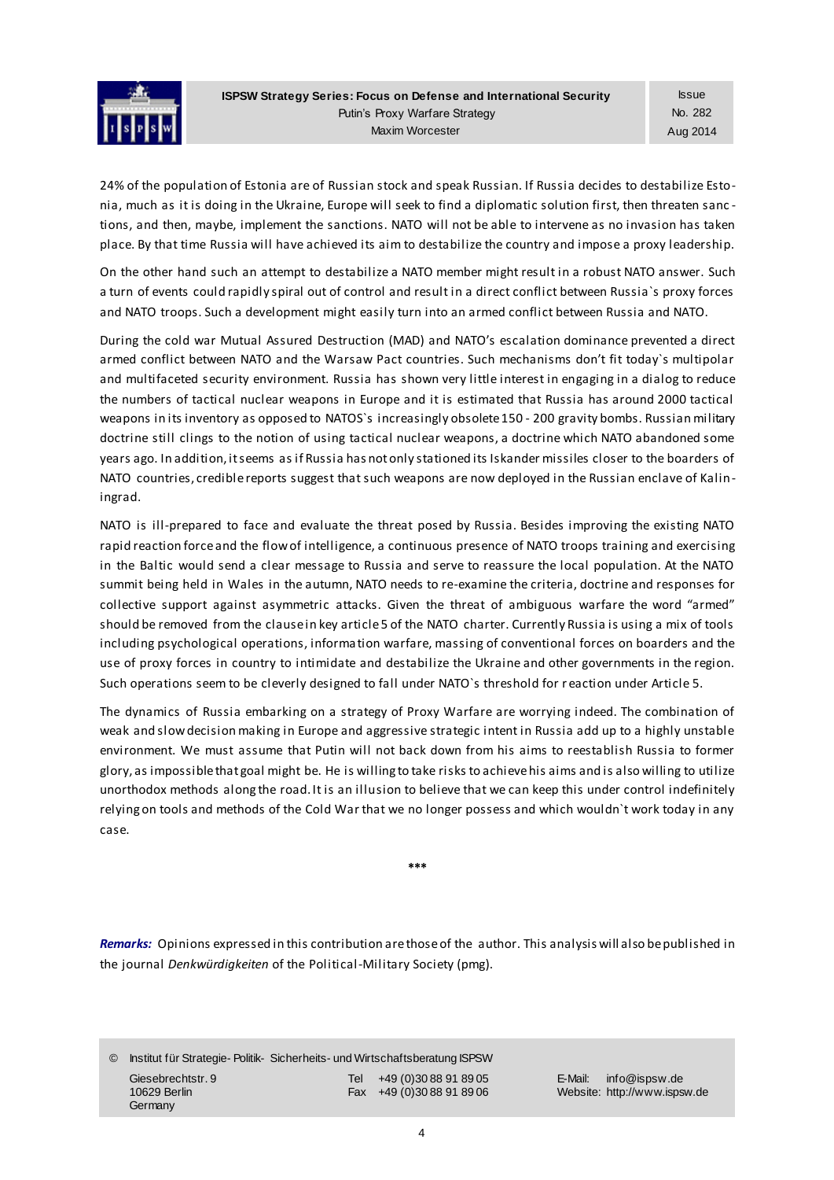

24% of the population of Estonia are of Russian stock and speak Russian. If Russia decides to destabilize Estonia, much as it is doing in the Ukraine, Europe will seek to find a diplomatic solution first, then threaten sanc tions, and then, maybe, implement the sanctions. NATO will not be able to intervene as no invasion has taken place. By that time Russia will have achieved its aim to destabilize the country and impose a proxy leadership.

On the other hand such an attempt to destabilize a NATO member might result in a robust NATO answer. Such a turn of events could rapidly spiral out of control and result in a direct conflict between Russia`s proxy forces and NATO troops. Such a development might easily turn into an armed conflict between Russia and NATO.

During the cold war Mutual Assured Destruction (MAD) and NATO's escalation dominance prevented a direct armed conflict between NATO and the Warsaw Pact countries. Such mechanisms don't fit today`s multipolar and multifaceted security environment. Russia has shown very little interest in engaging in a dialog to reduce the numbers of tactical nuclear weapons in Europe and it is estimated that Russia has around 2000 tactical weapons in its inventory as opposed to NATOS`s increasingly obsolete 150 - 200 gravity bombs. Russian military doctrine still clings to the notion of using tactical nuclear weapons, a doctrine which NATO abandoned some years ago. In addition, it seems as if Russia has not only stationed its Iskander missiles closer to the boarders of NATO countries, credible reports suggest that such weapons are now deployed in the Russian enclave of Kaliningrad.

NATO is ill-prepared to face and evaluate the threat posed by Russia. Besides improving the existing NATO rapid reaction force and the flow of intelligence, a continuous presence of NATO troops training and exercising in the Baltic would send a clear message to Russia and serve to reassure the local population. At the NATO summit being held in Wales in the autumn, NATO needs to re-examine the criteria, doctrine and responses for collective support against asymmetric attacks. Given the threat of ambiguous warfare the word "armed" should be removed from the clause in key article 5 of the NATO charter. Currently Russia is using a mix of tools including psychological operations, information warfare, massing of conventional forces on boarders and the use of proxy forces in country to intimidate and destabilize the Ukraine and other governments in the region. Such operations seem to be cleverly designed to fall under NATO`s threshold for r eaction under Article 5.

The dynamics of Russia embarking on a strategy of Proxy Warfare are worrying indeed. The combination of weak and slow decision making in Europe and aggressive strategic intent in Russia add up to a highly unstable environment. We must assume that Putin will not back down from his aims to reestablish Russia to former glory, as impossible that goal might be. He is willing to take risks to achieve his aims and is also willing to utilize unorthodox methods along the road. It is an illusion to believe that we can keep this under control indefinitely relying on tools and methods of the Cold War that we no longer possess and which wouldn`t work today in any case.

**\*\*\***

*Remarks:* Opinions expressed in this contribution are those of the author. This analysis will also be published in the journal *Denkwürdigkeiten* of the Political-Military Society (pmg).

© Institut für Strategie- Politik- Sicherheits- und Wirtschaftsberatung ISPSW Giesebrechtstr. 9 Tel +49 (0)30 88 91 89 05 E-Mail: info@ispsw.de

**Germany** 

10629 Berlin Fax +49 (0)30 88 91 89 06 Website: http://www.ispsw.de